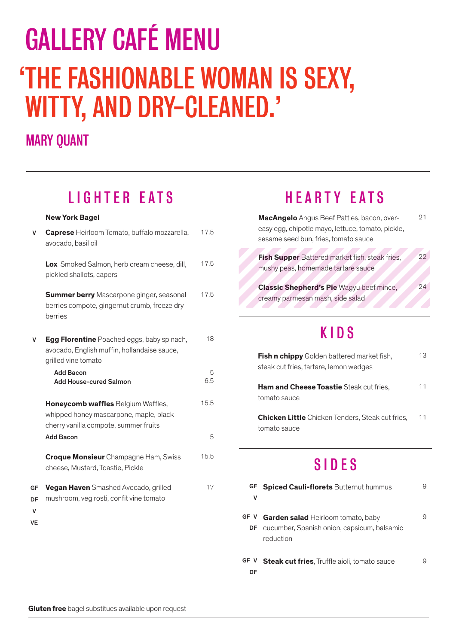# GALLERY CAFÉ MENU 'THE FASHIONABLE WOMAN IS SEXY, WITTY, AND DRY-CLEANED.'

#### MARY QUANT

|                     | LIUIIILII LAIU                                                                                                          |          |
|---------------------|-------------------------------------------------------------------------------------------------------------------------|----------|
|                     | <b>New York Bagel</b>                                                                                                   |          |
| v                   | Caprese Heirloom Tomato, buffalo mozzarella,<br>avocado, basil oil                                                      | 17.5     |
|                     | Lox Smoked Salmon, herb cream cheese, dill,<br>pickled shallots, capers                                                 | 17.5     |
|                     | <b>Summer berry</b> Mascarpone ginger, seasonal<br>berries compote, gingernut crumb, freeze dry<br>berries              | 17.5     |
| v                   | <b>Egg Florentine</b> Poached eggs, baby spinach,<br>avocado, English muffin, hollandaise sauce,<br>grilled vine tomato | 18       |
|                     | <b>Add Bacon</b><br><b>Add House-cured Salmon</b>                                                                       | 5<br>6.5 |
|                     | Honeycomb waffles Belgium Waffles,<br>whipped honey mascarpone, maple, black<br>cherry vanilla compote, summer fruits   | 15.5     |
|                     | <b>Add Bacon</b>                                                                                                        | 5        |
|                     | <b>Croque Monsieur</b> Champagne Ham, Swiss<br>cheese, Mustard, Toastie, Pickle                                         | 15.5     |
| GF<br>DF<br>v<br>VE | Vegan Haven Smashed Avocado, grilled<br>mushroom, veg rosti, confit vine tomato                                         | 17       |
|                     |                                                                                                                         |          |

LIGHTER EATS

### HEARTY EATS

**MacAngelo** Angus Beef Patties, bacon, overeasy egg, chipotle mayo, lettuce, tomato, pickle, sesame seed bun, fries, tomato sauce 21

22

 $24$ 

**Fish Supper** Battered market fish, steak fries, mushy peas, homemade tartare sauce

**Classic Shepherd's Pie** Wagyu beef mince, creamy parmesan mash, side salad

# KIDS

| <b>Fish n chippy</b> Golden battered market fish,<br>steak cut fries, tartare, lemon wedges | 13 |
|---------------------------------------------------------------------------------------------|----|
| <b>Ham and Cheese Toastie</b> Steak cut fries,<br>tomato sauce                              | 11 |
| <b>Chicken Little</b> Chicken Tenders, Steak cut fries,<br>tomato sauce                     | 11 |

### SIDES

| GF.<br>v   | <b>Spiced Cauli-florets Butternut hummus</b>                                                          | 9 |
|------------|-------------------------------------------------------------------------------------------------------|---|
| GF V<br>DF | <b>Garden salad</b> Heirloom tomato, baby<br>cucumber, Spanish onion, capsicum, balsamic<br>reduction | 9 |
| GF V<br>DF | <b>Steak cut fries.</b> Truffle aioli, tomato sauce                                                   | 9 |